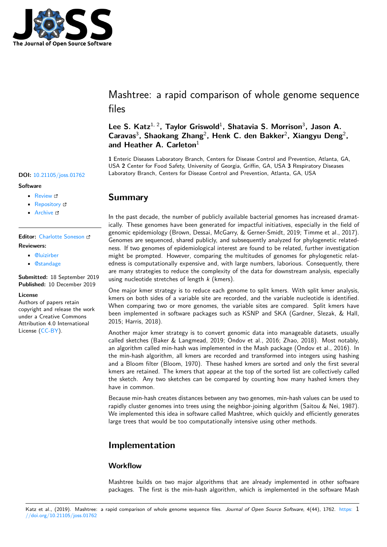

Mashtree: a rapid comparison of whole genome sequence files

### Lee S. Katz<sup>1, 2</sup>, Taylor Griswold<sup>1</sup>, Shatavia S. Morrison<sup>3</sup>, Jason A. Caravas<sup>3</sup>, Shaokang Zhang<sup>2</sup>, Henk C. den Bakker<sup>2</sup>, Xiangyu Deng<sup>2</sup>, **and Heather A. Carleton**<sup>1</sup>

**1** Enteric Diseases Laboratory Branch, Centers for Disease Control and Prevention, Atlanta, GA, USA **2** Center for Food Safety, University of Georgia, Griffin, GA, USA **3** Respiratory Diseases **DOI:** 10.21105/joss.01762 Laboratory Branch, Centers for Disease Control and Prevention, Atlanta, GA, USA

### **Summary**

In the past decade, the number of publicly available bacterial genomes has increased dramatically. These genomes have been generated for impactful initiatives, especially in the field of genomic epidemiology (Brown, Dessai, McGarry, & Gerner-Smidt, 2019; Timme et al., 2017). Genomes are sequenced, shared publicly, and subsequently analyzed for phylogenetic relatedness. If two genomes of epidemiological interest are found to be related, further investigation might be prompted. However, comparing the multitudes of genomes for phylogenetic relatedness is computationally expensive and, with large numbers, laborious. Consequently, there are many strategies to reduce the complexity of the data for downstream analysis, especially using nucleotide stretches of length *k* (kmers).

One major kmer strategy is to reduce each genome to split kmers. With split kmer analysis, kmers on both sides of a variable site are recorded, and the variable nucleotide is identified. When comparing two or more genomes, the variable sites are compared. Split kmers have been implemented in software packages such as KSNP and SKA (Gardner, Slezak, & Hall, 2015; Harris, 2018).

Another major kmer strategy is to convert genomic data into manageable datasets, usually called sketches (Baker & Langmead, 2019; Ondov et al., 2016; Zhao, 2018). Most notably, an algorithm called min-hash was implemented in the Mash package (Ondov et al., 2016). In the min-hash algorithm, all kmers are recorded and transformed into integers using hashing and a Bloom filter (Bloom, 1970). These hashed kmers are sorted and only the first several kmers are retained. The kmers that appear at the top of the sorted list are collectively called the sketch. Any two sketches can be compared by counting how many hashed kmers they have in common.

Because min-hash creates distances between any two genomes, min-hash values can be used to rapidly cluster genomes into trees using the neighbor-joining algorithm (Saitou & Nei, 1987). We implemented this idea in software called Mashtree, which quickly and efficiently generates large trees that would be too computationally intensive using other methods.

# **Implementation**

### **Workflow**

Mashtree builds on two major algorithms that are already implemented in other software packages. The first is the min-hash algorithm, which is implemented in the software Mash

### **Software**

- Review &
- [Repository](https://doi.org/10.21105/joss.01762)  $C$
- Archive

### **Editor:** [Charlotte](https://github.com/lskatz/mashtree) Soneson **Revie[wers:](https://doi.org/10.5281/zenodo.3568386)**

- @luizirber
	- @[standage](http://csoneson.github.io/)

**Submitted:** 18 September 2019 **Publi[shed:](https://github.com/luizirber)** 10 December 2019

#### **Licen[se](https://github.com/standage)**

Authors of papers retain copyright and release the work under a Creative Commons Attribution 4.0 International License (CC-BY).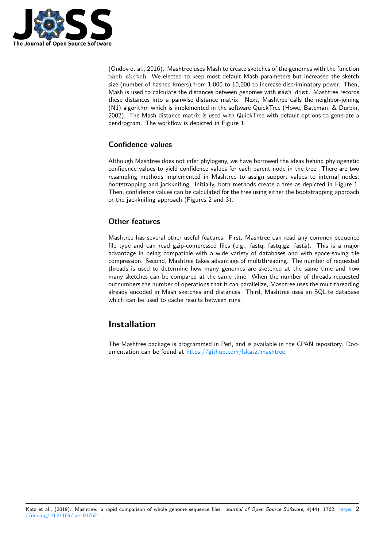

(Ondov et al., 2016). Mashtree uses Mash to create sketches of the genomes with the function mash sketch. We elected to keep most default Mash parameters but increased the sketch size (number of hashed kmers) from 1,000 to 10,000 to increase discriminatory power. Then, Mash is used to calculate the distances between genomes with mash dist. Mashtree records these distances into a pairwise distance matrix. Next, Mashtree calls the neighbor-joining (NJ) algorithm which is implemented in the software QuickTree (Howe, Bateman, & Durbin, 2002). The Mash distance matrix is used with QuickTree with default options to generate a dendrogram. The workflow is depicted in Figure 1.

### **Confidence values**

Although Mashtree does not infer phylogeny, we have borrowed the ideas behind phylogenetic confidence values to yield confidence values for each parent node in the tree. There are two resampling methods implemented in Mashtree to assign support values to internal nodes: bootstrapping and jackknifing. Initially, both methods create a tree as depicted in Figure 1. Then, confidence values can be calculated for the tree using either the bootstrapping approach or the jackknifing approach (Figures 2 and 3).

### **Other features**

Mashtree has several other useful features. First, Mashtree can read any common sequence file type and can read gzip-compressed files (e.g., fastq, fastq.gz, fasta). This is a major advantage in being compatible with a wide variety of databases and with space-saving file compression. Second, Mashtree takes advantage of multithreading. The number of requested threads is used to determine how many genomes are sketched at the same time and how many sketches can be compared at the same time. When the number of threads requested outnumbers the number of operations that it can parallelize, Mashtree uses the multithreading already encoded in Mash sketches and distances. Third, Mashtree uses an SQLite database which can be used to cache results between runs.

# **Installation**

The Mashtree package is programmed in Perl, and is available in the CPAN repository. Documentation can be found at https://github.com/lskatz/mashtree.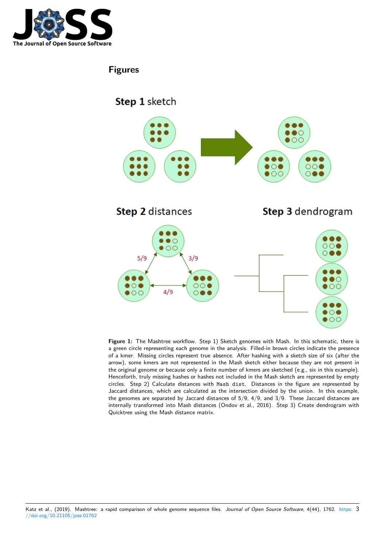

# **Figures**



**Figure 1:** The Mashtree workflow. Step 1) Sketch genomes with Mash. In this schematic, there is a green circle representing each genome in the analysis. Filled-in brown circles indicate the presence of a kmer. Missing circles represent true absence. After hashing with a sketch size of six (after the arrow), some kmers are not represented in the Mash sketch either because they are not present in the original genome or because only a finite number of kmers are sketched (e.g., six in this example). Henceforth, truly missing hashes or hashes not included in the Mash sketch are represented by empty circles. Step 2) Calculate distances with Mash dist. Distances in the figure are represented by Jaccard distances, which are calculated as the intersection divided by the union. In this example, the genomes are separated by Jaccard distances of 5/9, 4/9, and 3/9. These Jaccard distances are internally transformed into Mash distances (Ondov et al., 2016). Step 3) Create dendrogram with Quicktree using the Mash distance matrix.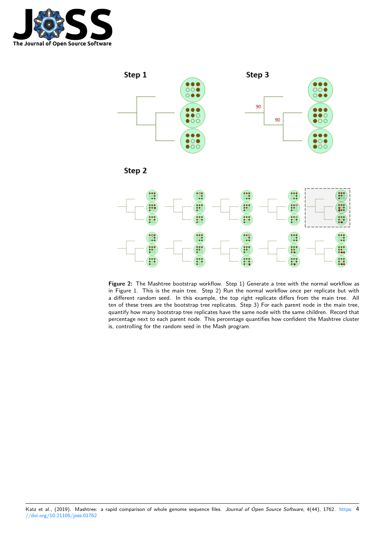



Step 2



**Figure 2:** The Mashtree bootstrap workflow. Step 1) Generate a tree with the normal workflow as in Figure 1. This is the main tree. Step 2) Run the normal workflow once per replicate but with a different random seed. In this example, the top right replicate differs from the main tree. All ten of these trees are the bootstrap tree replicates. Step 3) For each parent node in the main tree, quantify how many bootstrap tree replicates have the same node with the same children. Record that percentage next to each parent node. This percentage quantifies how confident the Mashtree cluster is, controlling for the random seed in the Mash program.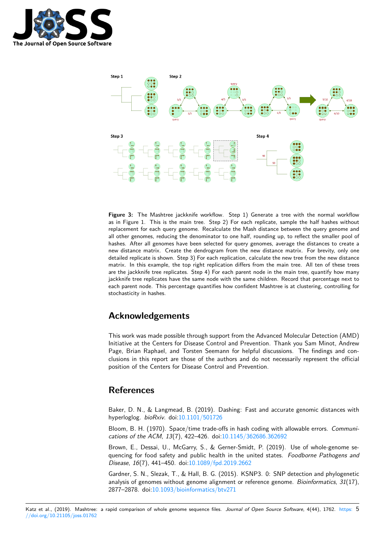



**Figure 3:** The Mashtree jackknife workflow. Step 1) Generate a tree with the normal workflow as in Figure 1. This is the main tree. Step 2) For each replicate, sample the half hashes without replacement for each query genome. Recalculate the Mash distance between the query genome and all other genomes, reducing the denominator to one half, rounding up, to reflect the smaller pool of hashes. After all genomes have been selected for query genomes, average the distances to create a new distance matrix. Create the dendrogram from the new distance matrix. For brevity, only one detailed replicate is shown. Step 3) For each replication, calculate the new tree from the new distance matrix. In this example, the top right replication differs from the main tree. All ten of these trees are the jackknife tree replicates. Step 4) For each parent node in the main tree, quantify how many jackknife tree replicates have the same node with the same children. Record that percentage next to each parent node. This percentage quantifies how confident Mashtree is at clustering, controlling for stochasticity in hashes.

# **Acknowledgements**

This work was made possible through support from the Advanced Molecular Detection (AMD) Initiative at the Centers for Disease Control and Prevention. Thank you Sam Minot, Andrew Page, Brian Raphael, and Torsten Seemann for helpful discussions. The findings and conclusions in this report are those of the authors and do not necessarily represent the official position of the Centers for Disease Control and Prevention.

# **References**

Baker, D. N., & Langmead, B. (2019). Dashing: Fast and accurate genomic distances with hyperloglog. *bioRxiv*. doi:10.1101/501726

Bloom, B. H. (1970). Space/time trade-offs in hash coding with allowable errors. *Communications of the ACM*, *13*(7), 422–426. doi:10.1145/362686.362692

Brown, E., Dessai, U., [McGarry, S., & Ge](https://doi.org/10.1101/501726)rner-Smidt, P. (2019). Use of whole-genome sequencing for food safety and public health in the united states. *Foodborne Pathogens and Disease*, *16*(7), 441–450. doi:10.1089/fpd.2019.2662

Gardner, S. N., Slezak, T., & Hall, B. G. ([2015\). KSNP3. 0: SNP](https://doi.org/10.1145/362686.362692) detection and phylogenetic analysis of genomes without genome alignment or reference genome. *Bioinformatics*, *31*(17), 2877–2878. doi:10.1093/bioi[nformatics/btv271](https://doi.org/10.1089/fpd.2019.2662)